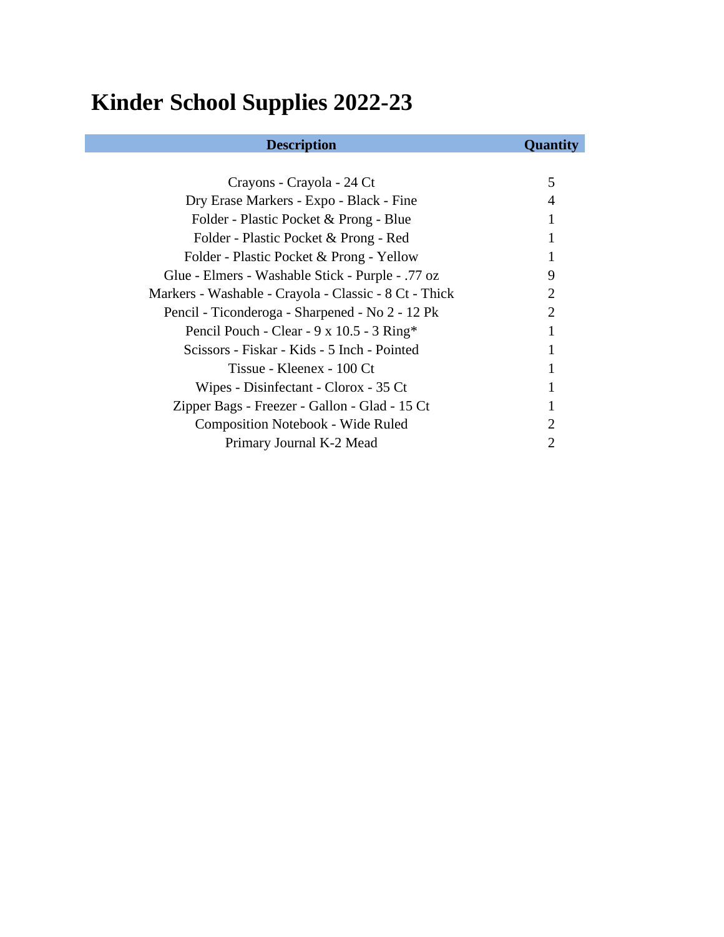# **Kinder School Supplies 2022-23**

| Crayons - Crayola - 24 Ct                             | 5                     |
|-------------------------------------------------------|-----------------------|
| Dry Erase Markers - Expo - Black - Fine               |                       |
| Folder - Plastic Pocket & Prong - Blue                |                       |
| Folder - Plastic Pocket & Prong - Red                 |                       |
| Folder - Plastic Pocket & Prong - Yellow              |                       |
| Glue - Elmers - Washable Stick - Purple - .77 oz      | 9                     |
| Markers - Washable - Crayola - Classic - 8 Ct - Thick | $\mathcal{D}_{\cdot}$ |
| Pencil - Ticonderoga - Sharpened - No 2 - 12 Pk       | $\mathcal{D}_{\cdot}$ |
| Pencil Pouch - Clear - 9 x 10.5 - 3 Ring*             |                       |
| Scissors - Fiskar - Kids - 5 Inch - Pointed           |                       |
| Tissue - Kleenex - 100 Ct                             |                       |
| Wipes - Disinfectant - Clorox - 35 Ct                 |                       |
| Zipper Bags - Freezer - Gallon - Glad - 15 Ct         |                       |
| <b>Composition Notebook - Wide Ruled</b>              |                       |
| Primary Journal K-2 Mead                              |                       |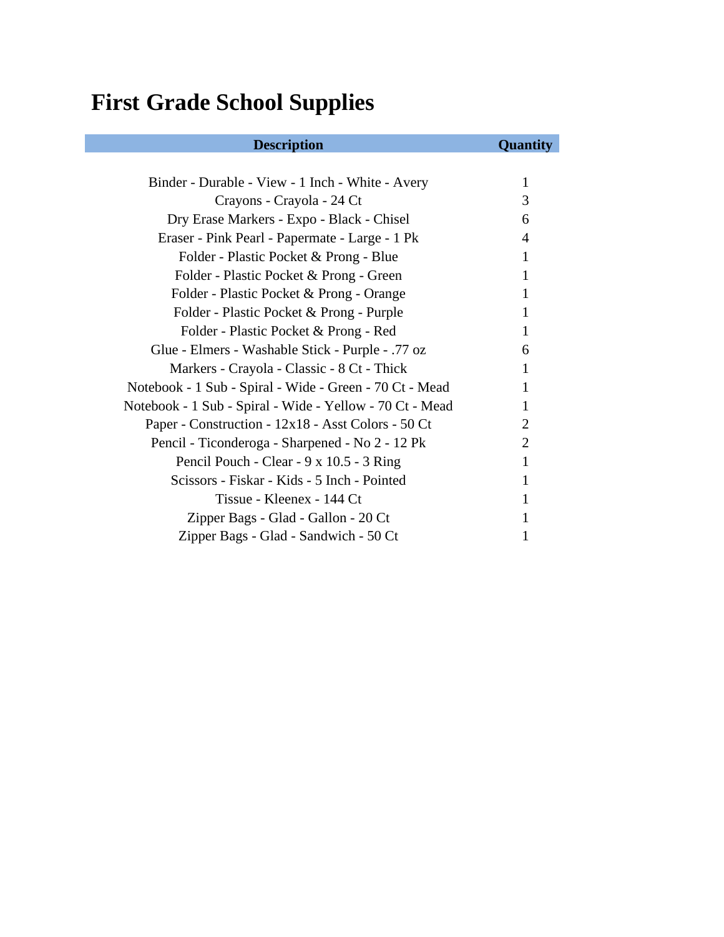### **First Grade School Supplies**

#### **Description Quantity** Binder - Durable - View - 1 Inch - White - Avery 1 Crayons - Crayola - 24 Ct 3 Dry Erase Markers - Expo - Black - Chisel 6 Eraser - Pink Pearl - Papermate - Large - 1 Pk 4 Folder - Plastic Pocket & Prong - Blue 1 Folder - Plastic Pocket & Prong - Green 1 Folder - Plastic Pocket & Prong - Orange 1 Folder - Plastic Pocket & Prong - Purple 1 Folder - Plastic Pocket & Prong - Red 1 Glue - Elmers - Washable Stick - Purple - .77 oz 6 Markers - Crayola - Classic - 8 Ct - Thick 1 Notebook - 1 Sub - Spiral - Wide - Green - 70 Ct - Mead 1 Notebook - 1 Sub - Spiral - Wide - Yellow - 70 Ct - Mead 1 Paper - Construction - 12x18 - Asst Colors - 50 Ct 2 Pencil - Ticonderoga - Sharpened - No 2 - 12 Pk 2 Pencil Pouch - Clear - 9 x 10.5 - 3 Ring 1 Scissors - Fiskar - Kids - 5 Inch - Pointed 1 Tissue - Kleenex - 144 Ct 1 Zipper Bags - Glad - Gallon - 20 Ct 1 Zipper Bags - Glad - Sandwich - 50 Ct 1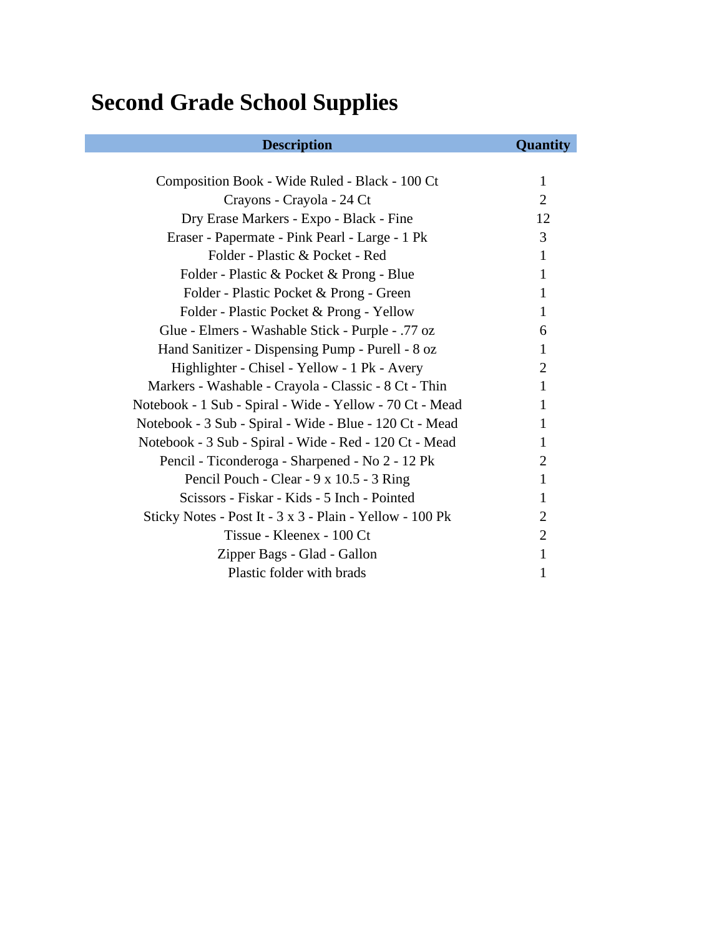# **Second Grade School Supplies**

| <b>Description</b>                                       | <b>Quantity</b> |
|----------------------------------------------------------|-----------------|
|                                                          |                 |
| Composition Book - Wide Ruled - Black - 100 Ct           | 1               |
| Crayons - Crayola - 24 Ct                                | $\overline{2}$  |
| Dry Erase Markers - Expo - Black - Fine                  | 12              |
| Eraser - Papermate - Pink Pearl - Large - 1 Pk           | 3               |
| Folder - Plastic & Pocket - Red                          | $\mathbf{1}$    |
| Folder - Plastic & Pocket & Prong - Blue                 | 1               |
| Folder - Plastic Pocket & Prong - Green                  | 1               |
| Folder - Plastic Pocket & Prong - Yellow                 | 1               |
| Glue - Elmers - Washable Stick - Purple - .77 oz         | 6               |
| Hand Sanitizer - Dispensing Pump - Purell - 8 oz         | 1               |
| Highlighter - Chisel - Yellow - 1 Pk - Avery             | 2               |
| Markers - Washable - Crayola - Classic - 8 Ct - Thin     | 1               |
| Notebook - 1 Sub - Spiral - Wide - Yellow - 70 Ct - Mead | 1               |
| Notebook - 3 Sub - Spiral - Wide - Blue - 120 Ct - Mead  | 1               |
| Notebook - 3 Sub - Spiral - Wide - Red - 120 Ct - Mead   | 1               |
| Pencil - Ticonderoga - Sharpened - No 2 - 12 Pk          | 2               |
| Pencil Pouch - Clear - 9 x 10.5 - 3 Ring                 | 1               |
| Scissors - Fiskar - Kids - 5 Inch - Pointed              | 1               |
| Sticky Notes - Post It - 3 x 3 - Plain - Yellow - 100 Pk | 2               |
| Tissue - Kleenex - 100 Ct                                | $\overline{2}$  |
| Zipper Bags - Glad - Gallon                              | 1               |
| Plastic folder with brads                                | 1               |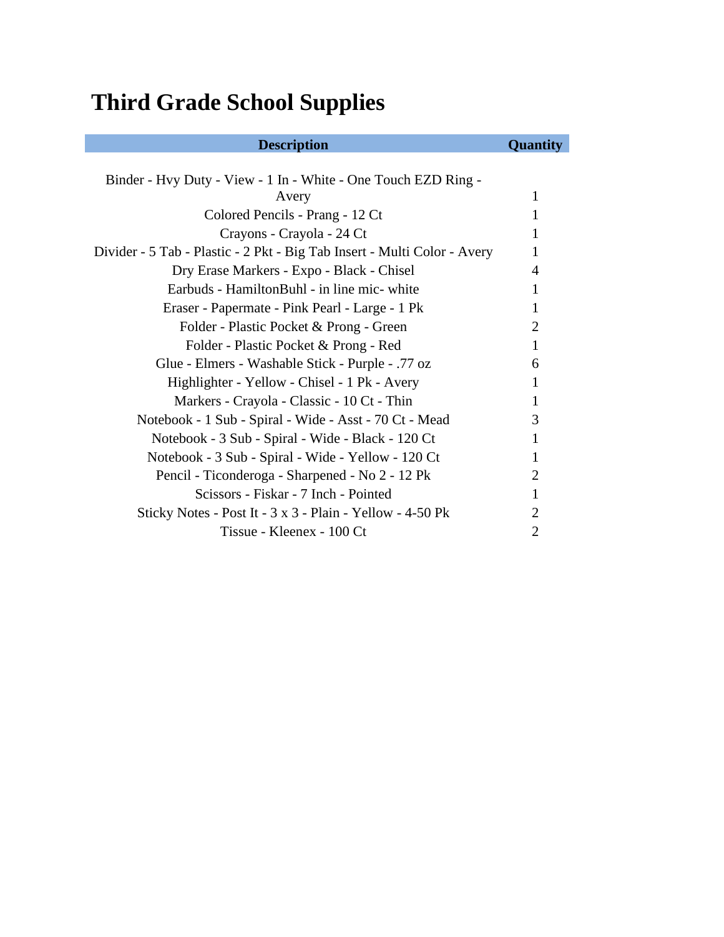# **Third Grade School Supplies**

| <b>Description</b>                                                       | Quantity                    |
|--------------------------------------------------------------------------|-----------------------------|
|                                                                          |                             |
| Binder - Hvy Duty - View - 1 In - White - One Touch EZD Ring -           |                             |
| Avery                                                                    | 1                           |
| Colored Pencils - Prang - 12 Ct                                          | 1                           |
| Crayons - Crayola - 24 Ct                                                | 1                           |
| Divider - 5 Tab - Plastic - 2 Pkt - Big Tab Insert - Multi Color - Avery | 1                           |
| Dry Erase Markers - Expo - Black - Chisel                                | 4                           |
| Earbuds - HamiltonBuhl - in line mic- white                              | 1                           |
| Eraser - Papermate - Pink Pearl - Large - 1 Pk                           | 1                           |
| Folder - Plastic Pocket & Prong - Green                                  | 2                           |
| Folder - Plastic Pocket & Prong - Red                                    | 1                           |
| Glue - Elmers - Washable Stick - Purple - .77 oz                         | 6                           |
| Highlighter - Yellow - Chisel - 1 Pk - Avery                             | 1                           |
| Markers - Crayola - Classic - 10 Ct - Thin                               |                             |
| Notebook - 1 Sub - Spiral - Wide - Asst - 70 Ct - Mead                   | 3                           |
| Notebook - 3 Sub - Spiral - Wide - Black - 120 Ct                        | 1                           |
| Notebook - 3 Sub - Spiral - Wide - Yellow - 120 Ct                       | 1                           |
| Pencil - Ticonderoga - Sharpened - No 2 - 12 Pk                          | $\mathcal{D}_{\mathcal{L}}$ |
| Scissors - Fiskar - 7 Inch - Pointed                                     | 1                           |
| Sticky Notes - Post It - 3 x 3 - Plain - Yellow - 4-50 Pk                | $\overline{2}$              |
| Tissue - Kleenex - 100 Ct                                                | 2                           |
|                                                                          |                             |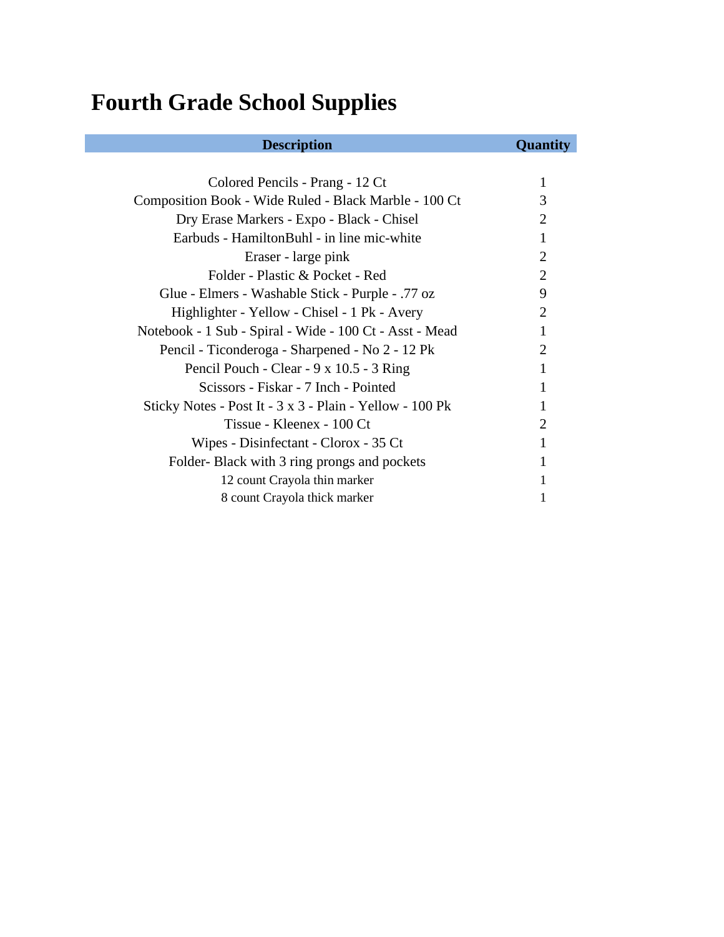## **Fourth Grade School Supplies**

| Colored Pencils - Prang - 12 Ct                          |                       |
|----------------------------------------------------------|-----------------------|
| Composition Book - Wide Ruled - Black Marble - 100 Ct    | 3                     |
| Dry Erase Markers - Expo - Black - Chisel                | 2                     |
| Earbuds - HamiltonBuhl - in line mic-white               |                       |
| Eraser - large pink                                      | 2                     |
| Folder - Plastic & Pocket - Red                          | $\mathcal{D}_{\cdot}$ |
| Glue - Elmers - Washable Stick - Purple - .77 oz         | 9                     |
| Highlighter - Yellow - Chisel - 1 Pk - Avery             | $\mathcal{D}_{\cdot}$ |
| Notebook - 1 Sub - Spiral - Wide - 100 Ct - Asst - Mead  |                       |
| Pencil - Ticonderoga - Sharpened - No 2 - 12 Pk          | 2                     |
| Pencil Pouch - Clear - 9 x 10.5 - 3 Ring                 |                       |
| Scissors - Fiskar - 7 Inch - Pointed                     |                       |
| Sticky Notes - Post It - 3 x 3 - Plain - Yellow - 100 Pk |                       |
| Tissue - Kleenex - 100 Ct                                | $\mathcal{D}_{\cdot}$ |
| Wipes - Disinfectant - Clorox - 35 Ct                    |                       |
| Folder-Black with 3 ring prongs and pockets              |                       |
| 12 count Crayola thin marker                             |                       |
| 8 count Crayola thick marker                             |                       |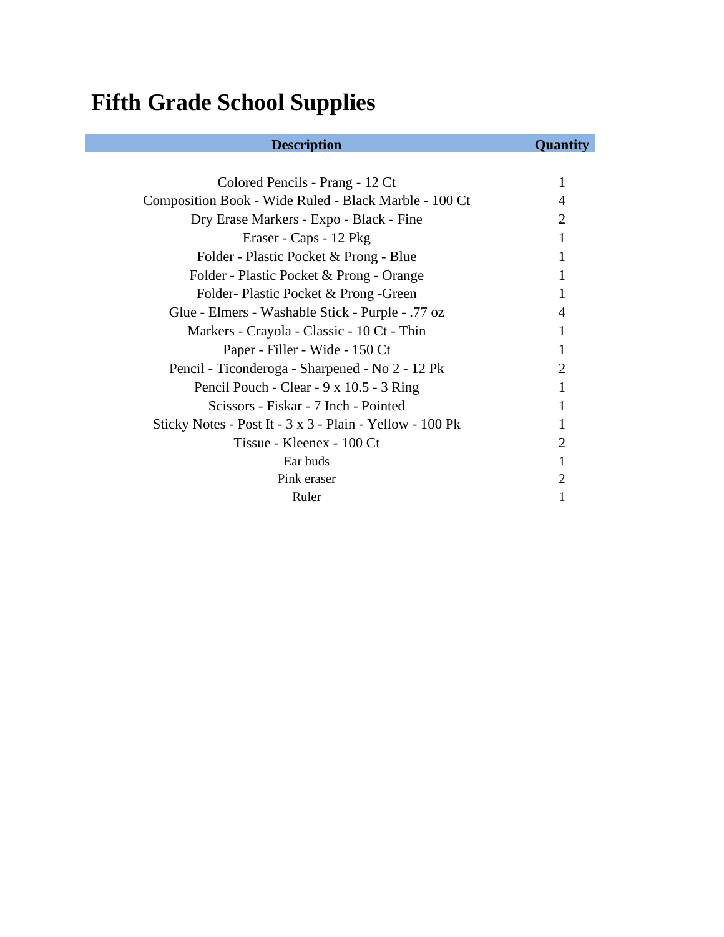## **Fifth Grade School Supplies**

| Colored Pencils - Prang - 12 Ct                          |                             |
|----------------------------------------------------------|-----------------------------|
| Composition Book - Wide Ruled - Black Marble - 100 Ct    |                             |
| Dry Erase Markers - Expo - Black - Fine                  | 2                           |
| Eraser - Caps - 12 Pkg                                   |                             |
| Folder - Plastic Pocket & Prong - Blue                   |                             |
| Folder - Plastic Pocket & Prong - Orange                 |                             |
| Folder-Plastic Pocket & Prong - Green                    |                             |
| Glue - Elmers - Washable Stick - Purple - .77 oz         |                             |
| Markers - Crayola - Classic - 10 Ct - Thin               |                             |
| Paper - Filler - Wide - 150 Ct                           |                             |
| Pencil - Ticonderoga - Sharpened - No 2 - 12 Pk          | $\mathcal{D}_{\cdot}$       |
| Pencil Pouch - Clear - 9 x 10.5 - 3 Ring                 |                             |
| Scissors - Fiskar - 7 Inch - Pointed                     |                             |
| Sticky Notes - Post It - 3 x 3 - Plain - Yellow - 100 Pk |                             |
| Tissue - Kleenex - 100 Ct                                | $\mathcal{D}_{\mathcal{L}}$ |
| Ear buds                                                 |                             |
| Pink eraser                                              | 2                           |
| Ruler                                                    |                             |